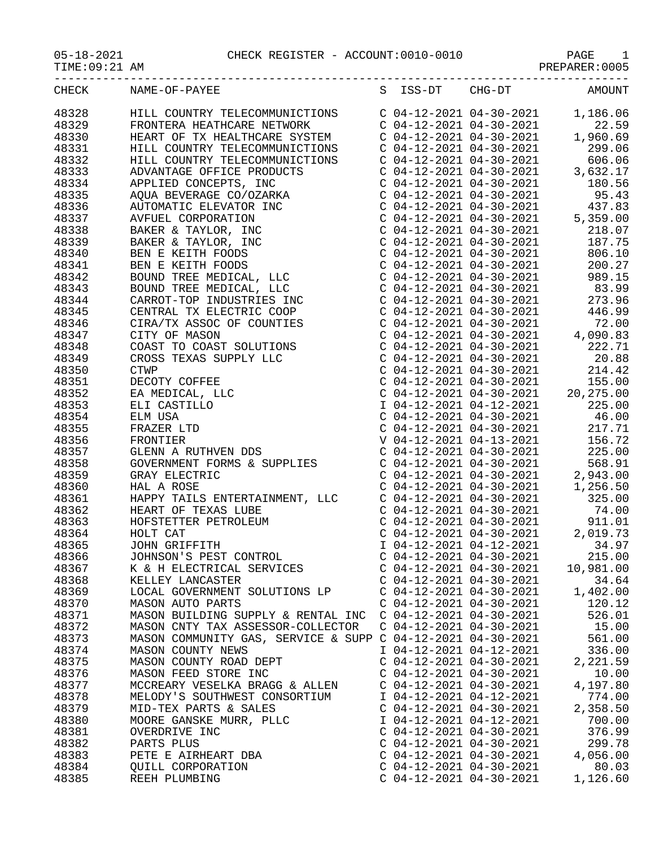05-18-2021 CHECK REGISTER - ACCOUNT:0010-0010 PAGE 1

TIME:09:21 AM PREPARER:0005

|              |               |   |                 |              | ---                      |
|--------------|---------------|---|-----------------|--------------|--------------------------|
| <b>CHECK</b> | NAME-OF-PAYEE | ∼ | 'nт<br>--<br>-- | $THG-$<br>nm | $\triangle M()$ $\Box N$ |

| CHECK | NAME-OF-PAYEE                                                                                                                                                                                                                                      | S | ISS-DT                    | $CHG-DT$                  | AMOUNT                                                                 |
|-------|----------------------------------------------------------------------------------------------------------------------------------------------------------------------------------------------------------------------------------------------------|---|---------------------------|---------------------------|------------------------------------------------------------------------|
| 48328 | HILL COUNTRY TELECOMMUNICTIONS<br>FRONTERA HEATHCARE NETWORK<br>HEART OF TX HEALTHCARE SYSTEM<br>C 04-12-2021 04-30-2021                                                                                                                           |   |                           |                           | 1,186.06                                                               |
| 48329 |                                                                                                                                                                                                                                                    |   |                           |                           | 22.59                                                                  |
| 48330 |                                                                                                                                                                                                                                                    |   |                           | $C$ 04-12-2021 04-30-2021 | 1,960.69                                                               |
| 48331 | HILL COUNTRY TELECOMMUNICTIONS                                                                                                                                                                                                                     |   |                           |                           | $C$ 04-12-2021 04-30-2021 299.06                                       |
| 48332 | HILL COUNTRY TELECOMMUNICTIONS                                                                                                                                                                                                                     |   |                           |                           | $C$ 04-12-2021 04-30-2021 606.06<br>$C$ 04-12-2021 04-30-2021 3,632.17 |
| 48333 |                                                                                                                                                                                                                                                    |   |                           |                           |                                                                        |
| 48334 |                                                                                                                                                                                                                                                    |   |                           |                           |                                                                        |
| 48335 |                                                                                                                                                                                                                                                    |   |                           |                           |                                                                        |
| 48336 |                                                                                                                                                                                                                                                    |   |                           |                           |                                                                        |
| 48337 |                                                                                                                                                                                                                                                    |   |                           |                           |                                                                        |
| 48338 |                                                                                                                                                                                                                                                    |   |                           |                           |                                                                        |
| 48339 |                                                                                                                                                                                                                                                    |   |                           |                           |                                                                        |
| 48340 |                                                                                                                                                                                                                                                    |   |                           |                           |                                                                        |
| 48341 |                                                                                                                                                                                                                                                    |   |                           |                           |                                                                        |
| 48342 |                                                                                                                                                                                                                                                    |   |                           |                           |                                                                        |
| 48343 |                                                                                                                                                                                                                                                    |   |                           |                           |                                                                        |
| 48344 |                                                                                                                                                                                                                                                    |   |                           |                           |                                                                        |
| 48345 |                                                                                                                                                                                                                                                    |   |                           |                           |                                                                        |
| 48346 |                                                                                                                                                                                                                                                    |   |                           |                           |                                                                        |
| 48347 |                                                                                                                                                                                                                                                    |   |                           |                           |                                                                        |
| 48348 |                                                                                                                                                                                                                                                    |   |                           |                           |                                                                        |
| 48349 |                                                                                                                                                                                                                                                    |   |                           |                           |                                                                        |
| 48350 |                                                                                                                                                                                                                                                    |   |                           |                           |                                                                        |
| 48351 |                                                                                                                                                                                                                                                    |   |                           |                           |                                                                        |
| 48352 |                                                                                                                                                                                                                                                    |   |                           |                           |                                                                        |
| 48353 |                                                                                                                                                                                                                                                    |   |                           |                           |                                                                        |
| 48354 |                                                                                                                                                                                                                                                    |   |                           |                           |                                                                        |
| 48355 |                                                                                                                                                                                                                                                    |   |                           |                           |                                                                        |
| 48356 | HILL COUNTRY TELECOMMUNICTIONS<br>C 04-12-2021 04-30-2021 299.06.06<br>APPLIED CONTRY TELECOMMUNICTIONS<br>C 04-12-2021 04-30-2021 3,625.17<br>APPLIED CONCEPTS , INC<br>C 04-12-2021 04-30-2021 3,632.17<br>APPLIED CONCERTS, INC<br>C            |   |                           |                           |                                                                        |
| 48357 |                                                                                                                                                                                                                                                    |   |                           |                           |                                                                        |
| 48358 |                                                                                                                                                                                                                                                    |   |                           |                           |                                                                        |
| 48359 | AND A ROSE<br>C 04-12-2021 04-30-2021<br>HAPPY TAILS ENTERTAINMENT, LLC<br>C 04-12-2021 04-30-2021<br>HEART OF TEXAS LUBE<br>HOFSTETTER PETROLEUM<br>HOLT CAT<br>C 04-12-2021 04-30-2021<br>C 04-12-2021 04-30-2021<br>C 04-12-2021 04-30-2021<br> |   |                           |                           |                                                                        |
| 48360 |                                                                                                                                                                                                                                                    |   |                           |                           |                                                                        |
| 48361 |                                                                                                                                                                                                                                                    |   |                           |                           |                                                                        |
| 48362 |                                                                                                                                                                                                                                                    |   |                           |                           |                                                                        |
| 48363 |                                                                                                                                                                                                                                                    |   |                           |                           |                                                                        |
| 48364 |                                                                                                                                                                                                                                                    |   |                           |                           |                                                                        |
| 48365 |                                                                                                                                                                                                                                                    |   |                           |                           |                                                                        |
| 48366 |                                                                                                                                                                                                                                                    |   |                           |                           |                                                                        |
| 48367 |                                                                                                                                                                                                                                                    |   |                           |                           |                                                                        |
| 48368 | KELLEY LANCASTER                                                                                                                                                                                                                                   |   | $C$ 04-12-2021 04-30-2021 |                           | 34.64                                                                  |
| 48369 | LOCAL GOVERNMENT SOLUTIONS LP                                                                                                                                                                                                                      |   | $C$ 04-12-2021 04-30-2021 |                           | 1,402.00                                                               |
| 48370 | MASON AUTO PARTS                                                                                                                                                                                                                                   |   | $C$ 04-12-2021 04-30-2021 |                           | 120.12                                                                 |
| 48371 | MASON BUILDING SUPPLY & RENTAL INC                                                                                                                                                                                                                 |   | $C$ 04-12-2021 04-30-2021 |                           | 526.01                                                                 |
| 48372 | MASON CNTY TAX ASSESSOR-COLLECTOR                                                                                                                                                                                                                  |   | $C$ 04-12-2021 04-30-2021 |                           | 15.00                                                                  |
| 48373 | MASON COMMUNITY GAS, SERVICE & SUPP C 04-12-2021 04-30-2021                                                                                                                                                                                        |   |                           |                           | 561.00                                                                 |
| 48374 | MASON COUNTY NEWS                                                                                                                                                                                                                                  |   | I 04-12-2021 04-12-2021   |                           | 336.00                                                                 |
| 48375 | MASON COUNTY ROAD DEPT                                                                                                                                                                                                                             |   | $C$ 04-12-2021 04-30-2021 |                           | 2,221.59                                                               |
| 48376 | MASON FEED STORE INC                                                                                                                                                                                                                               |   | $C$ 04-12-2021 04-30-2021 |                           | 10.00                                                                  |
| 48377 | MCCREARY VESELKA BRAGG & ALLEN                                                                                                                                                                                                                     |   | $C$ 04-12-2021 04-30-2021 |                           | 4,197.80                                                               |
| 48378 | MELODY'S SOUTHWEST CONSORTIUM                                                                                                                                                                                                                      |   | I 04-12-2021 04-12-2021   |                           | 774.00                                                                 |
| 48379 | MID-TEX PARTS & SALES                                                                                                                                                                                                                              |   | $C$ 04-12-2021 04-30-2021 |                           | 2,358.50                                                               |
| 48380 | MOORE GANSKE MURR, PLLC                                                                                                                                                                                                                            |   | I 04-12-2021 04-12-2021   |                           | 700.00                                                                 |
| 48381 | OVERDRIVE INC                                                                                                                                                                                                                                      |   | $C$ 04-12-2021 04-30-2021 |                           | 376.99                                                                 |
| 48382 | PARTS PLUS                                                                                                                                                                                                                                         |   | $C$ 04-12-2021 04-30-2021 |                           | 299.78                                                                 |
| 48383 | PETE E AIRHEART DBA                                                                                                                                                                                                                                |   | $C$ 04-12-2021 04-30-2021 |                           | 4,056.00                                                               |
| 48384 | <b>QUILL CORPORATION</b>                                                                                                                                                                                                                           |   | $C$ 04-12-2021 04-30-2021 |                           | 80.03                                                                  |
| 48385 | REEH PLUMBING                                                                                                                                                                                                                                      |   | $C$ 04-12-2021 04-30-2021 |                           | 1,126.60                                                               |
|       |                                                                                                                                                                                                                                                    |   |                           |                           |                                                                        |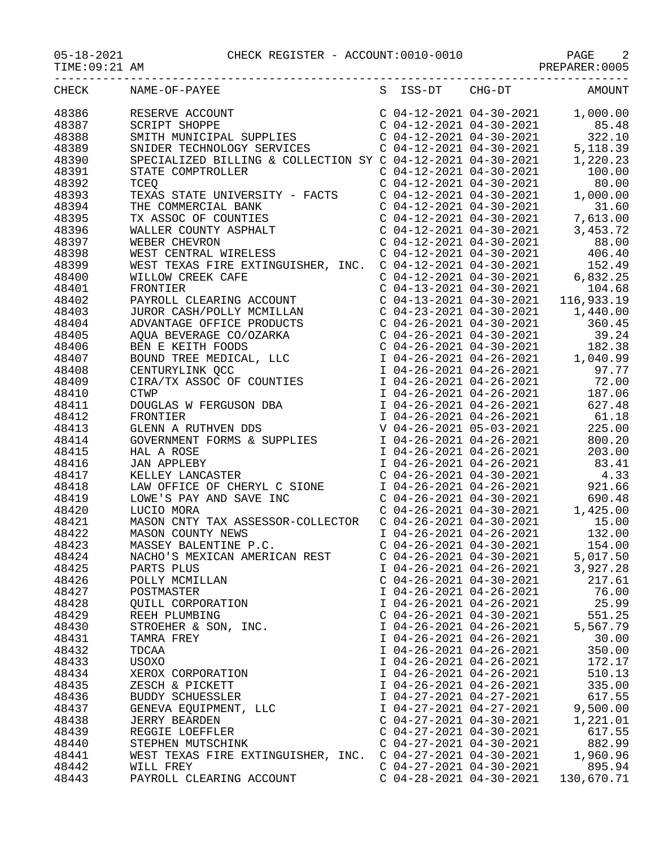| CHECK | NAME-OF-PAYEE                                                                                                                                                                                                                                                                                                                                                                                                                                                                                                            |                           |                           | S ISS-DT CHG-DT AMOUNT             |
|-------|--------------------------------------------------------------------------------------------------------------------------------------------------------------------------------------------------------------------------------------------------------------------------------------------------------------------------------------------------------------------------------------------------------------------------------------------------------------------------------------------------------------------------|---------------------------|---------------------------|------------------------------------|
| 48386 | RESERVE ACCOUNT<br>SCRIPT SHOPPE<br>SCRIPT SHOPPE<br>SMITH MUNICIPAL SUPPLIES<br>SMIDER TECHNOLOGY SERVICES<br>SPECIALIZED BILLING & COLLECTION SY C 04-12-2021 04-30-2021<br>$204-30-2021$<br>$22.10$<br>SPECIALIZED BILLING & COLLECTION SY                                                                                                                                                                                                                                                                            |                           |                           |                                    |
| 48387 |                                                                                                                                                                                                                                                                                                                                                                                                                                                                                                                          |                           |                           |                                    |
| 48388 |                                                                                                                                                                                                                                                                                                                                                                                                                                                                                                                          |                           |                           |                                    |
| 48389 |                                                                                                                                                                                                                                                                                                                                                                                                                                                                                                                          |                           |                           |                                    |
| 48390 |                                                                                                                                                                                                                                                                                                                                                                                                                                                                                                                          |                           |                           |                                    |
| 48391 | 3TATE COMPTROLLER<br>COMPTROLLER<br>COMPTROLLER<br>COMPTROLLER<br>COMPTROLLER<br>COMPTROLLER<br>COMPTROLLER<br>COMPTROLLER<br>COMPTROLLER<br>COMPTROLLER<br>COMPTROLLER<br>COMPTROLLER<br>COMPTRON<br>COMPTROLLER<br>COMPTIES<br>COMPTIES<br>COMPTIES<br>COMPTIE                                                                                                                                                                                                                                                         |                           | $C$ 04-12-2021 04-30-2021 |                                    |
| 48392 |                                                                                                                                                                                                                                                                                                                                                                                                                                                                                                                          |                           |                           |                                    |
| 48393 |                                                                                                                                                                                                                                                                                                                                                                                                                                                                                                                          |                           |                           |                                    |
| 48394 |                                                                                                                                                                                                                                                                                                                                                                                                                                                                                                                          |                           |                           |                                    |
| 48395 |                                                                                                                                                                                                                                                                                                                                                                                                                                                                                                                          |                           |                           |                                    |
| 48396 |                                                                                                                                                                                                                                                                                                                                                                                                                                                                                                                          |                           |                           |                                    |
| 48397 |                                                                                                                                                                                                                                                                                                                                                                                                                                                                                                                          |                           |                           |                                    |
| 48398 |                                                                                                                                                                                                                                                                                                                                                                                                                                                                                                                          |                           |                           |                                    |
| 48399 |                                                                                                                                                                                                                                                                                                                                                                                                                                                                                                                          |                           |                           |                                    |
| 48400 |                                                                                                                                                                                                                                                                                                                                                                                                                                                                                                                          |                           |                           |                                    |
|       |                                                                                                                                                                                                                                                                                                                                                                                                                                                                                                                          |                           |                           |                                    |
| 48401 |                                                                                                                                                                                                                                                                                                                                                                                                                                                                                                                          |                           |                           |                                    |
| 48402 |                                                                                                                                                                                                                                                                                                                                                                                                                                                                                                                          |                           |                           |                                    |
| 48403 |                                                                                                                                                                                                                                                                                                                                                                                                                                                                                                                          |                           |                           |                                    |
| 48404 |                                                                                                                                                                                                                                                                                                                                                                                                                                                                                                                          |                           |                           |                                    |
| 48405 |                                                                                                                                                                                                                                                                                                                                                                                                                                                                                                                          |                           |                           |                                    |
| 48406 |                                                                                                                                                                                                                                                                                                                                                                                                                                                                                                                          |                           |                           |                                    |
| 48407 |                                                                                                                                                                                                                                                                                                                                                                                                                                                                                                                          |                           |                           |                                    |
| 48408 |                                                                                                                                                                                                                                                                                                                                                                                                                                                                                                                          |                           |                           |                                    |
| 48409 |                                                                                                                                                                                                                                                                                                                                                                                                                                                                                                                          |                           |                           |                                    |
| 48410 |                                                                                                                                                                                                                                                                                                                                                                                                                                                                                                                          |                           |                           |                                    |
| 48411 |                                                                                                                                                                                                                                                                                                                                                                                                                                                                                                                          |                           |                           |                                    |
| 48412 | $\begin{tabular}{lllllllllllllllllllllll} \multicolumn{3}{l}{{\small \begin{tabular}{l} \multicolumn{3}{l}{{\small \begin{tabular}{l} \multicolumn{3}{l}{{\small \begin{tabular}{l} \multicolumn{3}{l}{{\small \begin{tabular}{l} \multicolumn{3}{l}{{\small \begin{tabular}{l} \multicolumn{3}{l}{{\small \begin{tabular}{l} \multicolumn{3}{l}{{\small \begin{tabular}{l} \multicolumn{3}{l}{{\small \begin{tabular}{l} \multicolumn{3}{l}{{\small \begin{tabular}{l} \multicolumn{3}{l}{{\small \begin{tabular}{l} \$ |                           |                           |                                    |
| 48413 |                                                                                                                                                                                                                                                                                                                                                                                                                                                                                                                          |                           |                           |                                    |
| 48414 |                                                                                                                                                                                                                                                                                                                                                                                                                                                                                                                          |                           |                           |                                    |
| 48415 |                                                                                                                                                                                                                                                                                                                                                                                                                                                                                                                          |                           |                           |                                    |
| 48416 |                                                                                                                                                                                                                                                                                                                                                                                                                                                                                                                          |                           |                           |                                    |
| 48417 |                                                                                                                                                                                                                                                                                                                                                                                                                                                                                                                          |                           |                           |                                    |
| 48418 |                                                                                                                                                                                                                                                                                                                                                                                                                                                                                                                          |                           |                           |                                    |
| 48419 | 1.000 E SPAY AND SAVE INC<br>LUCIO MORA<br>MASON CNTY TAX ASSESSOR-COLLECTOR C 04-26-2021 04-30-2021<br>MASON COUNTY NEWS<br>T 04-26-2021 04-30-2021<br>I 5.00<br>MASON COUNTY NEWS<br>T 04-26-2021 04-26-2021<br>T 04-26-2021<br>C 04-26-2021<br>                                                                                                                                                                                                                                                                       |                           |                           |                                    |
| 48420 |                                                                                                                                                                                                                                                                                                                                                                                                                                                                                                                          |                           |                           |                                    |
| 48421 |                                                                                                                                                                                                                                                                                                                                                                                                                                                                                                                          |                           |                           |                                    |
| 48422 | MASON COUNTY NEWS<br>MASSEY BALENTINE P.C.                                                                                                                                                                                                                                                                                                                                                                                                                                                                               |                           |                           |                                    |
| 48423 |                                                                                                                                                                                                                                                                                                                                                                                                                                                                                                                          |                           | $C$ 04-26-2021 04-30-2021 | 154.00                             |
| 48424 | NACHO'S MEXICAN AMERICAN REST                                                                                                                                                                                                                                                                                                                                                                                                                                                                                            | $C$ 04-26-2021 04-30-2021 |                           | 5,017.50                           |
| 48425 | PARTS PLUS                                                                                                                                                                                                                                                                                                                                                                                                                                                                                                               | I 04-26-2021 04-26-2021   |                           | 3,927.28                           |
| 48426 | POLLY MCMILLAN                                                                                                                                                                                                                                                                                                                                                                                                                                                                                                           |                           | $C$ 04-26-2021 04-30-2021 | 217.61                             |
| 48427 | POSTMASTER                                                                                                                                                                                                                                                                                                                                                                                                                                                                                                               |                           | I 04-26-2021 04-26-2021   | 76.00                              |
| 48428 | QUILL CORPORATION                                                                                                                                                                                                                                                                                                                                                                                                                                                                                                        |                           | I 04-26-2021 04-26-2021   | 25.99                              |
| 48429 | REEH PLUMBING                                                                                                                                                                                                                                                                                                                                                                                                                                                                                                            |                           | C 04-26-2021 04-30-2021   | 551.25                             |
| 48430 | STROEHER & SON, INC.                                                                                                                                                                                                                                                                                                                                                                                                                                                                                                     | I 04-26-2021 04-26-2021   |                           | 5,567.79                           |
| 48431 | TAMRA FREY                                                                                                                                                                                                                                                                                                                                                                                                                                                                                                               | $I$ 04-26-2021 04-26-2021 |                           | 30.00                              |
| 48432 | TDCAA                                                                                                                                                                                                                                                                                                                                                                                                                                                                                                                    |                           | I 04-26-2021 04-26-2021   | 350.00                             |
| 48433 | USOXO                                                                                                                                                                                                                                                                                                                                                                                                                                                                                                                    |                           | I 04-26-2021 04-26-2021   | 172.17                             |
| 48434 | XEROX CORPORATION                                                                                                                                                                                                                                                                                                                                                                                                                                                                                                        |                           | $I$ 04-26-2021 04-26-2021 | 510.13                             |
| 48435 | ZESCH & PICKETT                                                                                                                                                                                                                                                                                                                                                                                                                                                                                                          |                           | I 04-26-2021 04-26-2021   | 335.00                             |
| 48436 | BUDDY SCHUESSLER                                                                                                                                                                                                                                                                                                                                                                                                                                                                                                         |                           | I 04-27-2021 04-27-2021   | 617.55                             |
| 48437 | GENEVA EQUIPMENT, LLC                                                                                                                                                                                                                                                                                                                                                                                                                                                                                                    |                           | I 04-27-2021 04-27-2021   | 9,500.00                           |
| 48438 | <b>JERRY BEARDEN</b>                                                                                                                                                                                                                                                                                                                                                                                                                                                                                                     |                           | $C$ 04-27-2021 04-30-2021 | 1,221.01                           |
| 48439 | REGGIE LOEFFLER                                                                                                                                                                                                                                                                                                                                                                                                                                                                                                          |                           | $C$ 04-27-2021 04-30-2021 | 617.55                             |
| 48440 | STEPHEN MUTSCHINK                                                                                                                                                                                                                                                                                                                                                                                                                                                                                                        | $C$ 04-27-2021 04-30-2021 |                           | 882.99                             |
| 48441 | WEST TEXAS FIRE EXTINGUISHER, INC. C 04-27-2021 04-30-2021                                                                                                                                                                                                                                                                                                                                                                                                                                                               |                           |                           | 1,960.96                           |
| 48442 | WILL FREY                                                                                                                                                                                                                                                                                                                                                                                                                                                                                                                |                           | $C$ 04-27-2021 04-30-2021 | 895.94                             |
| 48443 | PAYROLL CLEARING ACCOUNT                                                                                                                                                                                                                                                                                                                                                                                                                                                                                                 |                           |                           | C 04-28-2021 04-30-2021 130,670.71 |
|       |                                                                                                                                                                                                                                                                                                                                                                                                                                                                                                                          |                           |                           |                                    |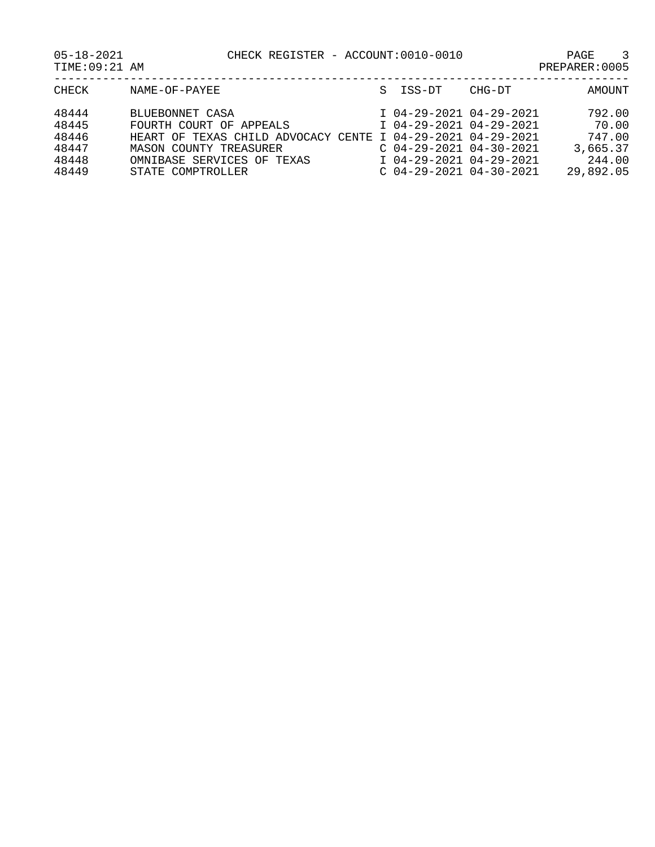05-18-2021 CHECK REGISTER - ACCOUNT:0010-0010 PAGE 3

| 48444 | BLUEBONNET CASA                                             | I 04-29-2021 04-29-2021   | 792.00    |
|-------|-------------------------------------------------------------|---------------------------|-----------|
| 48445 | FOURTH COURT OF APPEALS                                     | I 04-29-2021 04-29-2021   | 70.00     |
| 48446 | HEART OF TEXAS CHILD ADVOCACY CENTE I 04-29-2021 04-29-2021 |                           | 747.00    |
| 48447 | MASON COUNTY TREASURER                                      | $C$ 04-29-2021 04-30-2021 | 3,665.37  |
| 48448 | OMNIBASE SERVICES OF TEXAS                                  | I 04-29-2021 04-29-2021   | 244.00    |
| 48449 | STATE COMPTROLLER                                           | C 04-29-2021 04-30-2021   | 29,892.05 |